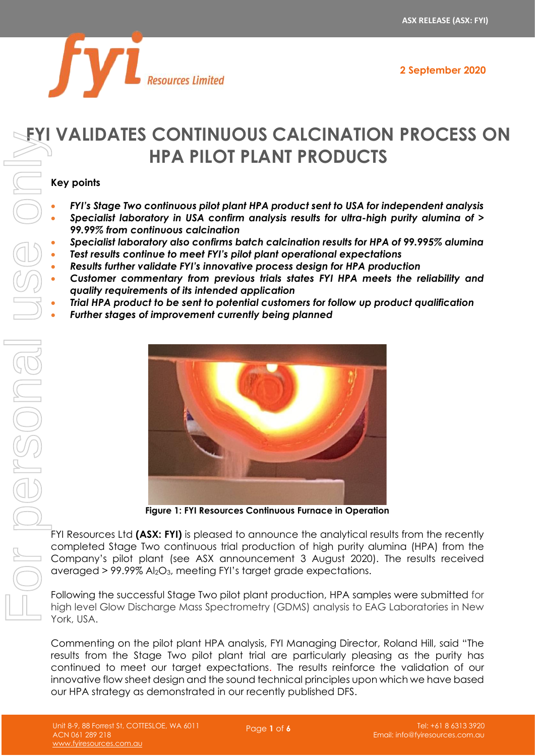

# **FYI VALIDATES CONTINUOUS CALCINATION PROCESS ON HPA PILOT PLANT PRODUCTS**

#### **Key points**

- *FYI's Stage Two continuous pilot plant HPA product sent to USA for independent analysis*
- *Specialist laboratory in USA confirm analysis results for ultra-high purity alumina of > 99.99% from continuous calcination*
- *Specialist laboratory also confirms batch calcination results for HPA of 99.995% alumina*
- *Test results continue to meet FYI's pilot plant operational expectations*
- *Results further validate FYI's innovative process design for HPA production*
- *Customer commentary from previous trials states FYI HPA meets the reliability and quality requirements of its intended application*
- *Trial HPA product to be sent to potential customers for follow up product qualification*
- *Further stages of improvement currently being planned*



**Figure 1: FYI Resources Continuous Furnace in Operation**

FYI Resources Ltd **(ASX: FYI)** is pleased to announce the analytical results from the recently completed Stage Two continuous trial production of high purity alumina (HPA) from the Company's pilot plant (see ASX announcement 3 August 2020). The results received averaged > 99.99% Al2O3, meeting FYI's target grade expectations.

Following the successful Stage Two pilot plant production, HPA samples were submitted for high level Glow Discharge Mass Spectrometry (GDMS) analysis to EAG Laboratories in New York, USA.

Commenting on the pilot plant HPA analysis, FYI Managing Director, Roland Hill, said "The results from the Stage Two pilot plant trial are particularly pleasing as the purity has continued to meet our target expectations. The results reinforce the validation of our innovative flow sheet design and the sound technical principles upon which we have based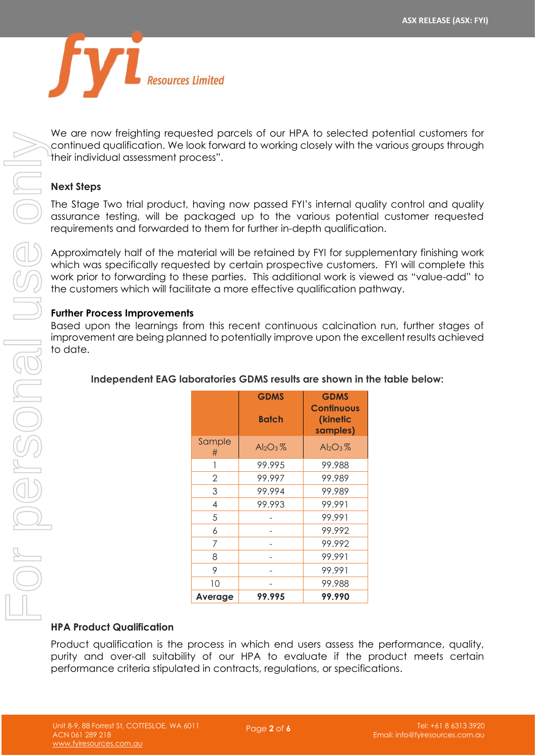

We are now freighting requested parcels of our HPA to selected potential customers for continued qualification. We look forward to working closely with the various groups through their individual assessment process".

#### **Next Steps**

The Stage Two trial product, having now passed FYI's internal quality control and quality assurance testing, will be packaged up to the various potential customer requested requirements and forwarded to them for further in-depth qualification.

Approximately half of the material will be retained by FYI for supplementary finishing work which was specifically requested by certain prospective customers. FYI will complete this work prior to forwarding to these parties. This additional work is viewed as "value-add" to the customers which will facilitate a more effective qualification pathway.

#### **Further Process Improvements**

Based upon the learnings from this recent continuous calcination run, further stages of improvement are being planned to potentially improve upon the excellent results achieved to date.

| continued qualification. We look forward to working closely with the variou<br>their individual assessment process".                                                                                                                                                                                             |                |                             |                                              |  |
|------------------------------------------------------------------------------------------------------------------------------------------------------------------------------------------------------------------------------------------------------------------------------------------------------------------|----------------|-----------------------------|----------------------------------------------|--|
| <b>Next Steps</b>                                                                                                                                                                                                                                                                                                |                |                             |                                              |  |
| The Stage Two trial product, having now passed FYI's internal quality co<br>assurance testing, will be packaged up to the various potential cust<br>requirements and forwarded to them for further in-depth qualification.                                                                                       |                |                             |                                              |  |
| Approximately half of the material will be retained by FYI for supplement<br>which was specifically requested by certain prospective customers. FYI<br>work prior to forwarding to these parties. This additional work is viewed c<br>the customers which will facilitate a more effective qualification pathway |                |                             |                                              |  |
| <b>Further Process Improvements</b><br>Based upon the learnings from this recent continuous calcination run,<br>improvement are being planned to potentially improve upon the excellen<br>to date.                                                                                                               |                |                             |                                              |  |
| Independent EAG laboratories GDMS results are shown in the tabl                                                                                                                                                                                                                                                  |                |                             |                                              |  |
|                                                                                                                                                                                                                                                                                                                  |                |                             |                                              |  |
|                                                                                                                                                                                                                                                                                                                  |                | <b>GDMS</b><br><b>Batch</b> | <b>GDMS</b><br><b>Continuous</b><br>(kinetic |  |
|                                                                                                                                                                                                                                                                                                                  | Sample<br>#    | $Al_2O_3\%$                 | samples)<br>$Al_2O_3\%$                      |  |
|                                                                                                                                                                                                                                                                                                                  | 1              | 99.995                      | 99.988                                       |  |
|                                                                                                                                                                                                                                                                                                                  | $\mathbf 2$    | 99.997                      | 99.989                                       |  |
|                                                                                                                                                                                                                                                                                                                  | 3              | 99.994                      | 99.989                                       |  |
|                                                                                                                                                                                                                                                                                                                  | $\overline{4}$ | 99.993                      | 99.991                                       |  |
|                                                                                                                                                                                                                                                                                                                  | 5              |                             | 99.991                                       |  |
|                                                                                                                                                                                                                                                                                                                  | 6              |                             | 99.992                                       |  |
|                                                                                                                                                                                                                                                                                                                  | 7              |                             | 99.992                                       |  |
|                                                                                                                                                                                                                                                                                                                  | 8              |                             | 99.991                                       |  |
|                                                                                                                                                                                                                                                                                                                  | 9              |                             | 99.991                                       |  |
|                                                                                                                                                                                                                                                                                                                  | 10             |                             | 99.988                                       |  |
|                                                                                                                                                                                                                                                                                                                  | Average        | 99.995                      | 99.990                                       |  |
| <b>HPA Product Qualification</b>                                                                                                                                                                                                                                                                                 |                |                             |                                              |  |

#### **Independent EAG laboratories GDMS results are shown in the table below:**

#### **HPA Product Qualification**

Product qualification is the process in which end users assess the performance, quality, purity and over-all suitability of our HPA to evaluate if the product meets certain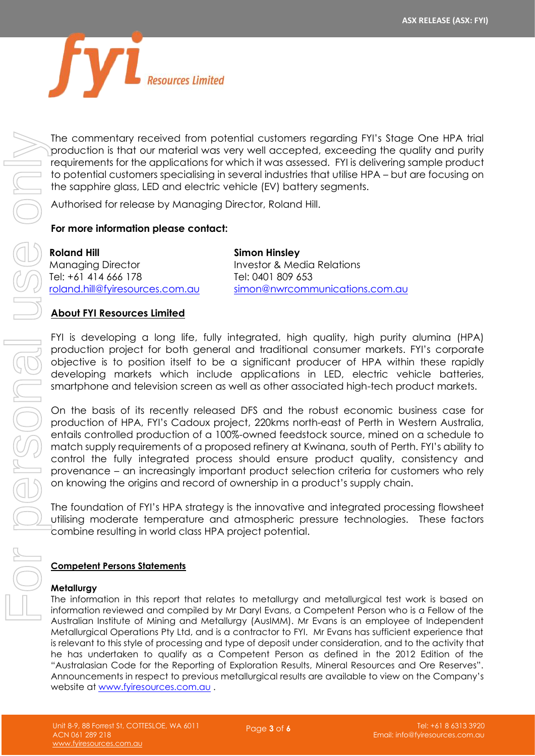

The commentary received from potential customers regarding FYI's Stage One HPA trial production is that our material was very well accepted, exceeding the quality and purity requirements for the applications for which it was assessed. FYI is delivering sample product to potential customers specialising in several industries that utilise HPA – but are focusing on the sapphire glass, LED and electric vehicle (EV) battery segments.

Authorised for release by Managing Director, Roland Hill.

#### **For more information please contact:**

**Roland Hill** Managing Director Tel: +61 414 666 178 [roland.hill@fyiresources.com.au](mailto:roland.hill@fyiresources.com.au)

**Simon Hinsley** Investor & Media Relations Tel: 0401 809 653 [simon@nwrcommunications.com.au](mailto:simon@nwrcommunications.com.au)

#### **About FYI Resources Limited**

FYI is developing a long life, fully integrated, high quality, high purity alumina (HPA) production project for both general and traditional consumer markets. FYI's corporate objective is to position itself to be a significant producer of HPA within these rapidly developing markets which include applications in LED, electric vehicle batteries, smartphone and television screen as well as other associated high-tech product markets.

On the basis of its recently released DFS and the robust economic business case for production of HPA, FYI's Cadoux project, 220kms north-east of Perth in Western Australia, entails controlled production of a 100%-owned feedstock source, mined on a schedule to match supply requirements of a proposed refinery at Kwinana, south of Perth. FYI's ability to control the fully integrated process should ensure product quality, consistency and provenance – an increasingly important product selection criteria for customers who rely on knowing the origins and record of ownership in a product's supply chain.

The foundation of FYI's HPA strategy is the innovative and integrated processing flowsheet utilising moderate temperature and atmospheric pressure technologies. These factors combine resulting in world class HPA project potential.

#### **Competent Persons Statements**

#### **Metallurgy**

The information in this report that relates to metallurgy and metallurgical test work is based on information reviewed and compiled by Mr Daryl Evans, a Competent Person who is a Fellow of the Australian Institute of Mining and Metallurgy (AusIMM). Mr Evans is an employee of Independent Metallurgical Operations Pty Ltd, and is a contractor to FYI. Mr Evans has sufficient experience that is relevant to this style of processing and type of deposit under consideration, and to the activity that he has undertaken to qualify as a Competent Person as defined in the 2012 Edition of the "Australasian Code for the Reporting of Exploration Results, Mineral Resources and Ore Reserves". Announcements in respect to previous metallurgical results are available to view on the Company's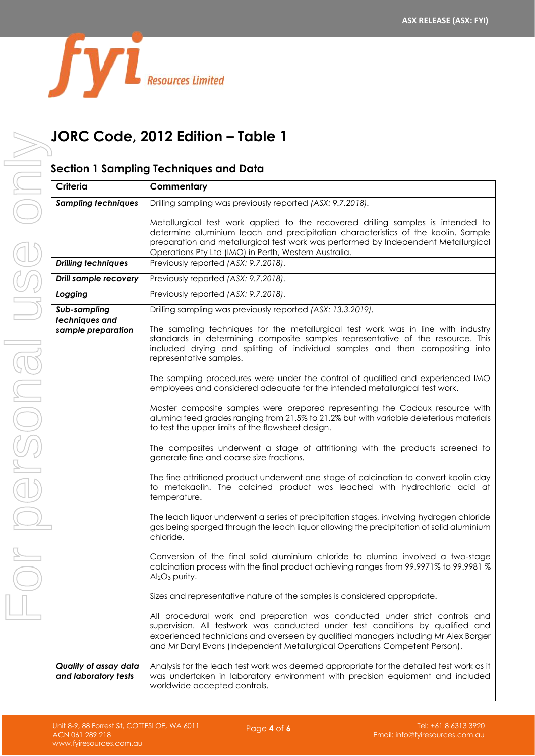

# **JORC Code, 2012 Edition – Table 1**

### **Section 1 Sampling Techniques and Data**

| Criteria                                             | Commentary                                                                                                                                                                                                                                                                                                                                                                                                                                                                                                                                                                                                                                                                                                                                                                                                                                                                                                                                                                                                                                                                                                                                                                                                                                                                                                                                                                                                                                                                                                                                                                                                                                                                                                                                        |
|------------------------------------------------------|---------------------------------------------------------------------------------------------------------------------------------------------------------------------------------------------------------------------------------------------------------------------------------------------------------------------------------------------------------------------------------------------------------------------------------------------------------------------------------------------------------------------------------------------------------------------------------------------------------------------------------------------------------------------------------------------------------------------------------------------------------------------------------------------------------------------------------------------------------------------------------------------------------------------------------------------------------------------------------------------------------------------------------------------------------------------------------------------------------------------------------------------------------------------------------------------------------------------------------------------------------------------------------------------------------------------------------------------------------------------------------------------------------------------------------------------------------------------------------------------------------------------------------------------------------------------------------------------------------------------------------------------------------------------------------------------------------------------------------------------------|
| <b>Sampling techniques</b>                           | Drilling sampling was previously reported (ASX: 9.7.2018).                                                                                                                                                                                                                                                                                                                                                                                                                                                                                                                                                                                                                                                                                                                                                                                                                                                                                                                                                                                                                                                                                                                                                                                                                                                                                                                                                                                                                                                                                                                                                                                                                                                                                        |
|                                                      | Metallurgical test work applied to the recovered drilling samples is intended to<br>determine aluminium leach and precipitation characteristics of the kaolin. Sample<br>preparation and metallurgical test work was performed by Independent Metallurgical<br>Operations Pty Ltd (IMO) in Perth, Western Australia.                                                                                                                                                                                                                                                                                                                                                                                                                                                                                                                                                                                                                                                                                                                                                                                                                                                                                                                                                                                                                                                                                                                                                                                                                                                                                                                                                                                                                              |
| <b>Drilling techniques</b>                           | Previously reported (ASX: 9.7.2018).                                                                                                                                                                                                                                                                                                                                                                                                                                                                                                                                                                                                                                                                                                                                                                                                                                                                                                                                                                                                                                                                                                                                                                                                                                                                                                                                                                                                                                                                                                                                                                                                                                                                                                              |
| <b>Drill sample recovery</b>                         | Previously reported (ASX: 9.7.2018).                                                                                                                                                                                                                                                                                                                                                                                                                                                                                                                                                                                                                                                                                                                                                                                                                                                                                                                                                                                                                                                                                                                                                                                                                                                                                                                                                                                                                                                                                                                                                                                                                                                                                                              |
| Logging                                              | Previously reported (ASX: 9.7.2018).                                                                                                                                                                                                                                                                                                                                                                                                                                                                                                                                                                                                                                                                                                                                                                                                                                                                                                                                                                                                                                                                                                                                                                                                                                                                                                                                                                                                                                                                                                                                                                                                                                                                                                              |
| Sub-sampling<br>techniques and<br>sample preparation | Drilling sampling was previously reported (ASX: 13.3.2019).<br>The sampling techniques for the metallurgical test work was in line with industry<br>standards in determining composite samples representative of the resource. This<br>included drying and splitting of individual samples and then compositing into<br>representative samples.<br>The sampling procedures were under the control of qualified and experienced IMO<br>employees and considered adequate for the intended metallurgical test work.<br>Master composite samples were prepared representing the Cadoux resource with<br>alumina feed grades ranging from 21.5% to 21.2% but with variable deleterious materials<br>to test the upper limits of the flowsheet design.<br>The composites underwent a stage of attritioning with the products screened to<br>generate fine and coarse size fractions.<br>The fine attritioned product underwent one stage of calcination to convert kaolin clay<br>to metakaolin. The calcined product was leached with hydrochloric acid at<br>temperature.<br>The leach liquor underwent a series of precipitation stages, involving hydrogen chloride<br>gas being sparged through the leach liquor allowing the precipitation of solid aluminium<br>chloride.<br>Conversion of the final solid aluminium chloride to alumina involved a two-stage<br>calcination process with the final product achieving ranges from 99.9971% to 99.9981 %<br>Al <sub>2</sub> O <sub>3</sub> purity.<br>Sizes and representative nature of the samples is considered appropriate.<br>All procedural work and preparation was conducted under strict controls and<br>supervision. All testwork was conducted under test conditions by qualified and |
|                                                      | experienced technicians and overseen by qualified managers including Mr Alex Borger<br>and Mr Daryl Evans (Independent Metallurgical Operations Competent Person).                                                                                                                                                                                                                                                                                                                                                                                                                                                                                                                                                                                                                                                                                                                                                                                                                                                                                                                                                                                                                                                                                                                                                                                                                                                                                                                                                                                                                                                                                                                                                                                |
| Quality of assay data<br>and laboratory tests        | Analysis for the leach test work was deemed appropriate for the detailed test work as it<br>was undertaken in laboratory environment with precision equipment and included<br>worldwide accepted controls.                                                                                                                                                                                                                                                                                                                                                                                                                                                                                                                                                                                                                                                                                                                                                                                                                                                                                                                                                                                                                                                                                                                                                                                                                                                                                                                                                                                                                                                                                                                                        |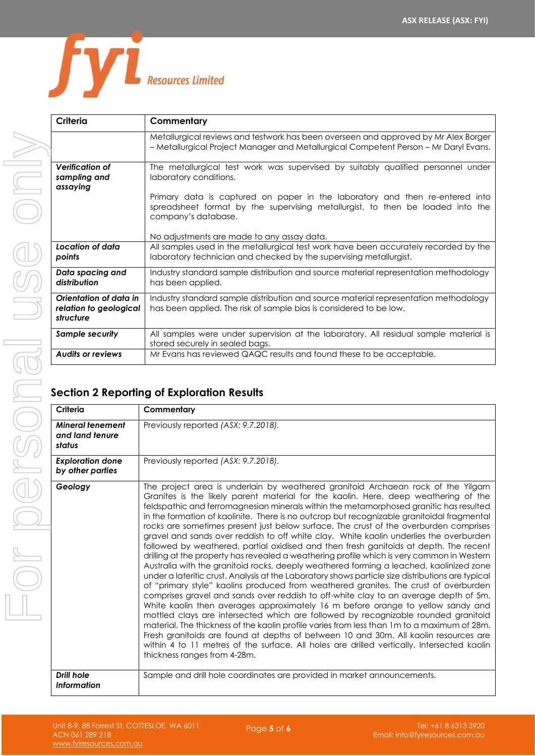

| Criteria                                                      | Commentary                                                                                                                                                                            |
|---------------------------------------------------------------|---------------------------------------------------------------------------------------------------------------------------------------------------------------------------------------|
|                                                               | Metallurgical reviews and testwork has been overseen and approved by Mr Alex Borger<br>- Metallurgical Project Manager and Metallurgical Competent Person - Mr Daryl Evans.           |
| Verification of<br>sampling and<br>assaying                   | The metallurgical test work was supervised by suitably qualified personnel under<br>laboratory conditions.                                                                            |
|                                                               | Primary data is captured on paper in the laboratory and then re-entered into<br>spreadsheet format by the supervising metallurgist, to then be loaded into the<br>company's database. |
|                                                               | No adjustments are made to any assay data.                                                                                                                                            |
| Location of data<br>points                                    | All samples used in the metallurgical test work have been accurately recorded by the<br>laboratory technician and checked by the supervising metallurgist.                            |
| Data spacing and<br>distribution                              | Industry standard sample distribution and source material representation methodology<br>has been applied.                                                                             |
| Orientation of data in<br>relation to geological<br>structure | Industry standard sample distribution and source material representation methodology<br>has been applied. The risk of sample bias is considered to be low.                            |
| <b>Sample security</b>                                        | All samples were under supervision at the laboratory. All residual sample material is<br>stored securely in sealed bags.                                                              |
| <b>Audits or reviews</b>                                      | Mr Evans has reviewed QAQC results and found these to be acceptable.                                                                                                                  |

## **Section 2 Reporting of Exploration Results**

| Criteria                                             | Commentary                                                                                                                                                                                                                                                                                                                                                                                                                                                                                                                                                                                                                                                                                                                                                                                                                                                                                                                                                                                                                                                                                                                                                                                                                                                                                                                                                                                                                                                                                                                                                                                                               |
|------------------------------------------------------|--------------------------------------------------------------------------------------------------------------------------------------------------------------------------------------------------------------------------------------------------------------------------------------------------------------------------------------------------------------------------------------------------------------------------------------------------------------------------------------------------------------------------------------------------------------------------------------------------------------------------------------------------------------------------------------------------------------------------------------------------------------------------------------------------------------------------------------------------------------------------------------------------------------------------------------------------------------------------------------------------------------------------------------------------------------------------------------------------------------------------------------------------------------------------------------------------------------------------------------------------------------------------------------------------------------------------------------------------------------------------------------------------------------------------------------------------------------------------------------------------------------------------------------------------------------------------------------------------------------------------|
| <b>Mineral tenement</b><br>and land tenure<br>status | Previously reported (ASX: 9.7.2018).                                                                                                                                                                                                                                                                                                                                                                                                                                                                                                                                                                                                                                                                                                                                                                                                                                                                                                                                                                                                                                                                                                                                                                                                                                                                                                                                                                                                                                                                                                                                                                                     |
| <b>Exploration done</b><br>by other parties          | Previously reported (ASX: 9.7.2018).                                                                                                                                                                                                                                                                                                                                                                                                                                                                                                                                                                                                                                                                                                                                                                                                                                                                                                                                                                                                                                                                                                                                                                                                                                                                                                                                                                                                                                                                                                                                                                                     |
| Geology                                              | The project area is underlain by weathered granitoid Archaean rock of the Yilgarn<br>Granites is the likely parent material for the kaolin. Here, deep weathering of the<br>feldspathic and ferromagnesian minerals within the metamorphosed granitic has resulted<br>in the formation of kaolinite. There is no outcrop but recognizable granitoidal fragmental<br>rocks are sometimes present just below surface. The crust of the overburden comprises<br>gravel and sands over reddish to off white clay. White kaolin underlies the overburden<br>followed by weathered, partial oxidised and then fresh ganitoids at depth. The recent<br>drilling at the property has revealed a weathering profile which is very common in Western<br>Australia with the granitoid rocks, deeply weathered forming a leached, kaolinized zone<br>under a lateritic crust. Analysis at the Laboratory shows particle size distributions are typical<br>of "primary style" kaolins produced from weathered granites. The crust of overburden<br>comprises gravel and sands over reddish to off-white clay to an average depth of 5m.<br>White kaolin then averages approximately 16 m before orange to yellow sandy and<br>mottled clays are intersected which are followed by recognizable rounded granitoid<br>material. The thickness of the kaolin profile varies from less than 1m to a maximum of 28m.<br>Fresh granitoids are found at depths of between 10 and 30m. All kaolin resources are<br>within 4 to 11 metres of the surface. All holes are drilled vertically. Intersected kaolin<br>thickness ranges from 4-28m. |
| <b>Drill hole</b><br><b>Information</b>              | Sample and drill hole coordinates are provided in market announcements.                                                                                                                                                                                                                                                                                                                                                                                                                                                                                                                                                                                                                                                                                                                                                                                                                                                                                                                                                                                                                                                                                                                                                                                                                                                                                                                                                                                                                                                                                                                                                  |